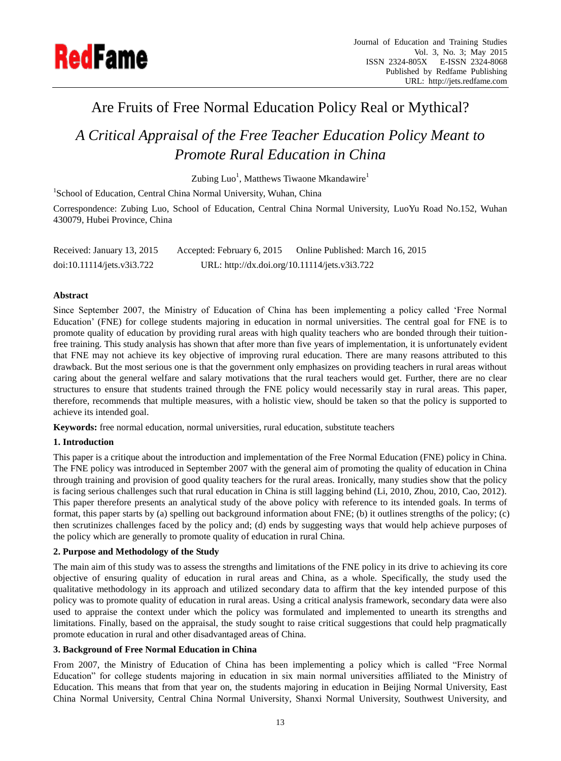

# Are Fruits of Free Normal Education Policy Real or Mythical?

*A Critical Appraisal of the Free Teacher Education Policy Meant to Promote Rural Education in China*

Zubing Luo<sup>1</sup>, Matthews Tiwaone Mkandawire<sup>1</sup>

<sup>1</sup>School of Education, Central China Normal University, Wuhan, China

Correspondence: Zubing Luo, School of Education, Central China Normal University, LuoYu Road No.152, Wuhan 430079, Hubei Province, China

Received: January 13, 2015 Accepted: February 6, 2015 Online Published: March 16, 2015 doi:10.11114/jets.v3i3.722 URL: http://dx.doi.org/10.11114/jets.v3i3.722

## **Abstract**

Since September 2007, the Ministry of Education of China has been implementing a policy called 'Free Normal Education' (FNE) for college students majoring in education in normal universities. The central goal for FNE is to promote quality of education by providing rural areas with high quality teachers who are bonded through their tuitionfree training. This study analysis has shown that after more than five years of implementation, it is unfortunately evident that FNE may not achieve its key objective of improving rural education. There are many reasons attributed to this drawback. But the most serious one is that the government only emphasizes on providing teachers in rural areas without caring about the general welfare and salary motivations that the rural teachers would get. Further, there are no clear structures to ensure that students trained through the FNE policy would necessarily stay in rural areas. This paper, therefore, recommends that multiple measures, with a holistic view, should be taken so that the policy is supported to achieve its intended goal.

**Keywords:** free normal education, normal universities, rural education, substitute teachers

## **1. Introduction**

This paper is a critique about the introduction and implementation of the Free Normal Education (FNE) policy in China. The FNE policy was introduced in September 2007 with the general aim of promoting the quality of education in China through training and provision of good quality teachers for the rural areas. Ironically, many studies show that the policy is facing serious challenges such that rural education in China is still lagging behind (Li, 2010, Zhou, 2010, Cao, 2012). This paper therefore presents an analytical study of the above policy with reference to its intended goals. In terms of format, this paper starts by (a) spelling out background information about FNE; (b) it outlines strengths of the policy; (c) then scrutinizes challenges faced by the policy and; (d) ends by suggesting ways that would help achieve purposes of the policy which are generally to promote quality of education in rural China.

## **2. Purpose and Methodology of the Study**

The main aim of this study was to assess the strengths and limitations of the FNE policy in its drive to achieving its core objective of ensuring quality of education in rural areas and China, as a whole. Specifically, the study used the qualitative methodology in its approach and utilized secondary data to affirm that the key intended purpose of this policy was to promote quality of education in rural areas. Using a critical analysis framework, secondary data were also used to appraise the context under which the policy was formulated and implemented to unearth its strengths and limitations. Finally, based on the appraisal, the study sought to raise critical suggestions that could help pragmatically promote education in rural and other disadvantaged areas of China.

## **3. Background of Free Normal Education in China**

From 2007, the Ministry of Education of China has been implementing a policy which is called "Free Normal Education" for college students majoring in education in six main normal universities affiliated to the Ministry of Education. This means that from that year on, the students majoring in education in Beijing Normal University, East China Normal University, Central China Normal University, Shanxi Normal University, Southwest University, and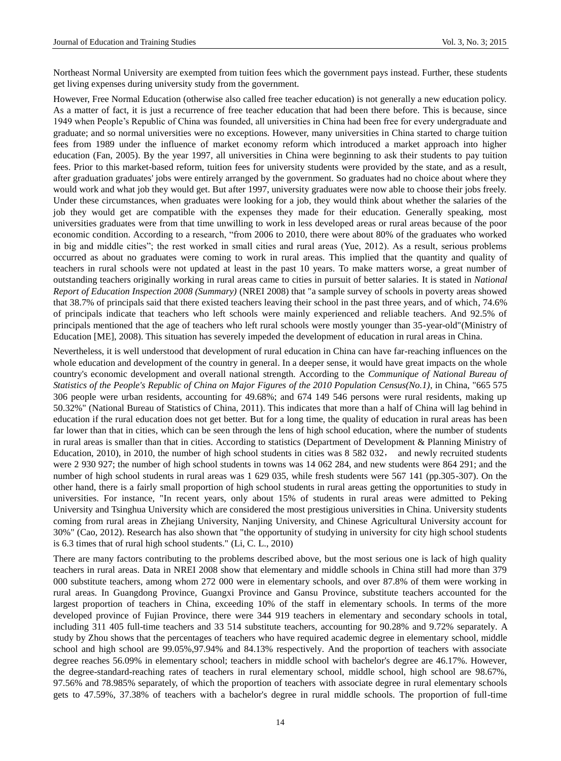Northeast Normal University are exempted from tuition fees which the government pays instead. Further, these students get living expenses during university study from the government.

However, Free Normal Education (otherwise also called free teacher education) is not generally a new education policy. As a matter of fact, it is just a recurrence of free teacher education that had been there before. This is because, since 1949 when People's Republic of China was founded, all universities in China had been free for every undergraduate and graduate; and so normal universities were no exceptions. However, many universities in China started to charge tuition fees from 1989 under the influence of market economy reform which introduced a market approach into higher education (Fan, 2005). By the year 1997, all universities in China were beginning to ask their students to pay tuition fees. Prior to this market-based reform, tuition fees for university students were provided by the state, and as a result, after graduation graduates' jobs were entirely arranged by the government. So graduates had no choice about where they would work and what job they would get. But after 1997, university graduates were now able to choose their jobs freely. Under these circumstances, when graduates were looking for a job, they would think about whether the salaries of the job they would get are compatible with the expenses they made for their education. Generally speaking, most universities graduates were from that time unwilling to work in less developed areas or rural areas because of the poor economic condition. According to a research, "from 2006 to 2010, there were about 80% of the graduates who worked in big and middle cities"; the rest worked in small cities and rural areas (Yue, 2012). As a result, serious problems occurred as about no graduates were coming to work in rural areas. This implied that the quantity and quality of teachers in rural schools were not updated at least in the past 10 years. To make matters worse, a great number of outstanding teachers originally working in rural areas came to cities in pursuit of better salaries. It is stated in *National Report of Education Inspection 2008 (Summary)* (NREI 2008) that "a sample survey of schools in poverty areas showed that 38.7% of principals said that there existed teachers leaving their school in the past three years, and of which, 74.6% of principals indicate that teachers who left schools were mainly experienced and reliable teachers. And 92.5% of principals mentioned that the age of teachers who left rural schools were mostly younger than 35-year-old"(Ministry of Education [ME], 2008). This situation has severely impeded the development of education in rural areas in China.

Nevertheless, it is well understood that development of rural education in China can have far-reaching influences on the whole education and development of the country in general. In a deeper sense, it would have great impacts on the whole country's economic development and overall national strength. According to the *Communique of National Bureau of Statistics of the People's Republic of China on Major Figures of the 2010 Population Census(No.1)*, in China, "665 575 306 people were urban residents, accounting for 49.68%; and 674 149 546 persons were rural residents, making up 50.32%" (National Bureau of Statistics of China, 2011). This indicates that more than a half of China will lag behind in education if the rural education does not get better. But for a long time, the quality of education in rural areas has been far lower than that in cities, which can be seen through the lens of high school education, where the number of students in rural areas is smaller than that in cities. According to statistics (Department of Development & Planning Ministry of Education, 2010), in 2010, the number of high school students in cities was 8 582 032, and newly recruited students were 2 930 927; the number of high school students in towns was 14 062 284, and new students were 864 291; and the number of high school students in rural areas was 1 629 035, while fresh students were 567 141 (pp.305-307). On the other hand, there is a fairly small proportion of high school students in rural areas getting the opportunities to study in universities. For instance, "In recent years, only about 15% of students in rural areas were admitted to Peking University and Tsinghua University which are considered the most prestigious universities in China. University students coming from rural areas in Zhejiang University, Nanjing University, and Chinese Agricultural University account for 30%" (Cao, 2012). Research has also shown that "the opportunity of studying in university for city high school students is 6.3 times that of rural high school students." (Li, C. L., 2010)

There are many factors contributing to the problems described above, but the most serious one is lack of high quality teachers in rural areas. Data in NREI 2008 show that elementary and middle schools in China still had more than 379 000 substitute teachers, among whom 272 000 were in elementary schools, and over 87.8% of them were working in rural areas. In Guangdong Province, Guangxi Province and Gansu Province, substitute teachers accounted for the largest proportion of teachers in China, exceeding 10% of the staff in elementary schools. In terms of the more developed province of Fujian Province, there were 344 919 teachers in elementary and secondary schools in total, including 311 405 full-time teachers and 33 514 substitute teachers, accounting for 90.28% and 9.72% separately. A study by Zhou shows that the percentages of teachers who have required academic degree in elementary school, middle school and high school are 99.05%,97.94% and 84.13% respectively. And the proportion of teachers with associate degree reaches 56.09% in elementary school; teachers in middle school with bachelor's degree are 46.17%. However, the degree-standard-reaching rates of teachers in rural elementary school, middle school, high school are 98.67%, 97.56% and 78.985% separately, of which the proportion of teachers with associate degree in rural elementary schools gets to 47.59%, 37.38% of teachers with a bachelor's degree in rural middle schools. The proportion of full-time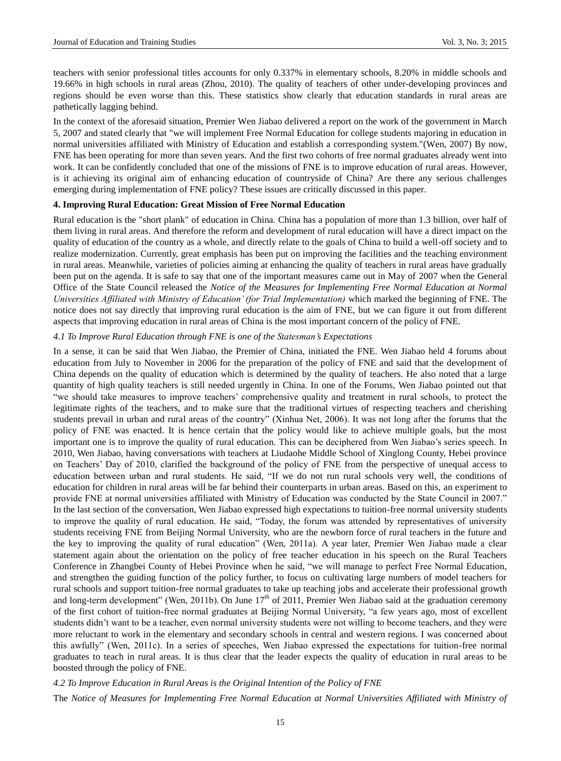teachers with senior professional titles accounts for only 0.337% in elementary schools, 8.20% in middle schools and 19.66% in high schools in rural areas (Zhou, 2010). The quality of teachers of other under-developing provinces and regions should be even worse than this. These statistics show clearly that education standards in rural areas are pathetically lagging behind.

In the context of the aforesaid situation, Premier Wen Jiabao delivered a report on the work of the government in March 5, 2007 and stated clearly that "we will implement Free Normal Education for college students majoring in education in normal universities affiliated with Ministry of Education and establish a corresponding system."(Wen, 2007) By now, FNE has been operating for more than seven years. And the first two cohorts of free normal graduates already went into work. It can be confidently concluded that one of the missions of FNE is to improve education of rural areas. However, is it achieving its original aim of enhancing education of countryside of China? Are there any serious challenges emerging during implementation of FNE policy? These issues are critically discussed in this paper.

## **4. Improving Rural Education: Great Mission of Free Normal Education**

Rural education is the "short plank" of education in China. China has a population of more than 1.3 billion, over half of them living in rural areas. And therefore the reform and development of rural education will have a direct impact on the quality of education of the country as a whole, and directly relate to the goals of China to build a well-off society and to realize modernization. Currently, great emphasis has been put on improving the facilities and the teaching environment in rural areas. Meanwhile, varieties of policies aiming at enhancing the quality of teachers in rural areas have gradually been put on the agenda. It is safe to say that one of the important measures came out in May of 2007 when the General Office of the State Council released the *Notice of the Measures for Implementing Free Normal Education at Normal Universities Affiliated with Ministry of Education' (for Trial Implementation)* which marked the beginning of FNE. The notice does not say directly that improving rural education is the aim of FNE, but we can figure it out from different aspects that improving education in rural areas of China is the most important concern of the policy of FNE.

## *4.1 To Improve Rural Education through FNE is one of the Statesman's Expectations*

In a sense, it can be said that Wen Jiabao, the Premier of China, initiated the FNE. Wen Jiabao held 4 forums about education from July to November in 2006 for the preparation of the policy of FNE and said that the development of China depends on the quality of education which is determined by the quality of teachers. He also noted that a large quantity of high quality teachers is still needed urgently in China. In one of the Forums, Wen Jiabao pointed out that "we should take measures to improve teachers' comprehensive quality and treatment in rural schools, to protect the legitimate rights of the teachers, and to make sure that the traditional virtues of respecting teachers and cherishing students prevail in urban and rural areas of the country" (Xinhua Net, 2006). It was not long after the forums that the policy of FNE was enacted. It is hence certain that the policy would like to achieve multiple goals, but the most important one is to improve the quality of rural education. This can be deciphered from Wen Jiabao's series speech. In 2010, Wen Jiabao, having conversations with teachers at Liudaohe Middle School of Xinglong County, Hebei province on Teachers' Day of 2010, clarified the background of the policy of FNE from the perspective of unequal access to education between urban and rural students. He said, "If we do not run rural schools very well, the conditions of education for children in rural areas will be far behind their counterparts in urban areas. Based on this, an experiment to provide FNE at normal universities affiliated with Ministry of Education was conducted by the State Council in 2007." In the last section of the conversation, Wen Jiabao expressed high expectations to tuition-free normal university students to improve the quality of rural education. He said, "Today, the forum was attended by representatives of university students receiving FNE from Beijing Normal University, who are the newborn force of rural teachers in the future and the key to improving the quality of rural education" (Wen, 2011a). A year later, Premier Wen Jiabao made a clear statement again about the orientation on the policy of free teacher education in his speech on the Rural Teachers Conference in Zhangbei County of Hebei Province when he said, "we will manage to perfect Free Normal Education, and strengthen the guiding function of the policy further, to focus on cultivating large numbers of model teachers for rural schools and support tuition-free normal graduates to take up teaching jobs and accelerate their professional growth and long-term development" (Wen, 2011b). On June  $17<sup>th</sup>$  of 2011, Premier Wen Jiabao said at the graduation ceremony of the first cohort of tuition-free normal graduates at Beijing Normal University, "a few years ago, most of excellent students didn't want to be a teacher, even normal university students were not willing to become teachers, and they were more reluctant to work in the elementary and secondary schools in central and western regions. I was concerned about this awfully" (Wen, 2011c). In a series of speeches, Wen Jiabao expressed the expectations for tuition-free normal graduates to teach in rural areas. It is thus clear that the leader expects the quality of education in rural areas to be boosted through the policy of FNE.

*4.2 To Improve Education in Rural Areas is the Original Intention of the Policy of FNE* The *Notice of Measures for Implementing Free Normal Education at Normal Universities Affiliated with Ministry of*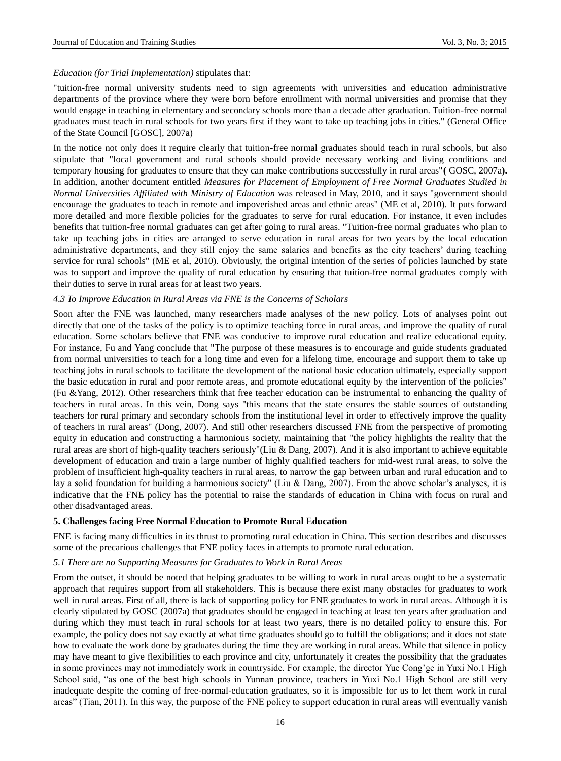#### *Education (for Trial Implementation)* stipulates that:

"tuition-free normal university students need to sign agreements with universities and education administrative departments of the province where they were born before enrollment with normal universities and promise that they would engage in teaching in elementary and secondary schools more than a decade after graduation. Tuition-free normal graduates must teach in rural schools for two years first if they want to take up teaching jobs in cities." (General Office of the State Council [GOSC], 2007a)

In the notice not only does it require clearly that tuition-free normal graduates should teach in rural schools, but also stipulate that "local government and rural schools should provide necessary working and living conditions and temporary housing for graduates to ensure that they can make contributions successfully in rural areas"**(** GOSC, 2007a**).** In addition, another document entitled *Measures for Placement of Employment of Free Normal Graduates Studied in Normal Universities Affiliated with Ministry of Education* was released in May, 2010, and it says "government should encourage the graduates to teach in remote and impoverished areas and ethnic areas" (ME et al, 2010). It puts forward more detailed and more flexible policies for the graduates to serve for rural education. For instance, it even includes benefits that tuition-free normal graduates can get after going to rural areas. "Tuition-free normal graduates who plan to take up teaching jobs in cities are arranged to serve education in rural areas for two years by the local education administrative departments, and they still enjoy the same salaries and benefits as the city teachers' during teaching service for rural schools" (ME et al, 2010). Obviously, the original intention of the series of policies launched by state was to support and improve the quality of rural education by ensuring that tuition-free normal graduates comply with their duties to serve in rural areas for at least two years.

#### *4.3 To Improve Education in Rural Areas via FNE is the Concerns of Scholars*

Soon after the FNE was launched, many researchers made analyses of the new policy. Lots of analyses point out directly that one of the tasks of the policy is to optimize teaching force in rural areas, and improve the quality of rural education. Some scholars believe that FNE was conducive to improve rural education and realize educational equity. For instance, Fu and Yang conclude that "The purpose of these measures is to encourage and guide students graduated from normal universities to teach for a long time and even for a lifelong time, encourage and support them to take up teaching jobs in rural schools to facilitate the development of the national basic education ultimately, especially support the basic education in rural and poor remote areas, and promote educational equity by the intervention of the policies" (Fu &Yang, 2012). Other researchers think that free teacher education can be instrumental to enhancing the quality of teachers in rural areas. In this vein, Dong says "this means that the state ensures the stable sources of outstanding teachers for rural primary and secondary schools from the institutional level in order to effectively improve the quality of teachers in rural areas" (Dong, 2007). And still other researchers discussed FNE from the perspective of promoting equity in education and constructing a harmonious society, maintaining that "the policy highlights the reality that the rural areas are short of high-quality teachers seriously"(Liu & Dang, 2007). And it is also important to achieve equitable development of education and train a large number of highly qualified teachers for mid-west rural areas, to solve the problem of insufficient high-quality teachers in rural areas, to narrow the gap between urban and rural education and to lay a solid foundation for building a harmonious society" (Liu & Dang, 2007). From the above scholar's analyses, it is indicative that the FNE policy has the potential to raise the standards of education in China with focus on rural and other disadvantaged areas.

#### **5. Challenges facing Free Normal Education to Promote Rural Education**

FNE is facing many difficulties in its thrust to promoting rural education in China. This section describes and discusses some of the precarious challenges that FNE policy faces in attempts to promote rural education.

#### *5.1 There are no Supporting Measures for Graduates to Work in Rural Areas*

From the outset, it should be noted that helping graduates to be willing to work in rural areas ought to be a systematic approach that requires support from all stakeholders. This is because there exist many obstacles for graduates to work well in rural areas. First of all, there is lack of supporting policy for FNE graduates to work in rural areas. Although it is clearly stipulated by GOSC (2007a) that graduates should be engaged in teaching at least ten years after graduation and during which they must teach in rural schools for at least two years, there is no detailed policy to ensure this. For example, the policy does not say exactly at what time graduates should go to fulfill the obligations; and it does not state how to evaluate the work done by graduates during the time they are working in rural areas. While that silence in policy may have meant to give flexibilities to each province and city, unfortunately it creates the possibility that the graduates in some provinces may not immediately work in countryside. For example, the director Yue Cong'ge in Yuxi No.1 High School said, "as one of the best high schools in Yunnan province, teachers in Yuxi No.1 High School are still very inadequate despite the coming of free-normal-education graduates, so it is impossible for us to let them work in rural areas" (Tian, 2011). In this way, the purpose of the FNE policy to support education in rural areas will eventually vanish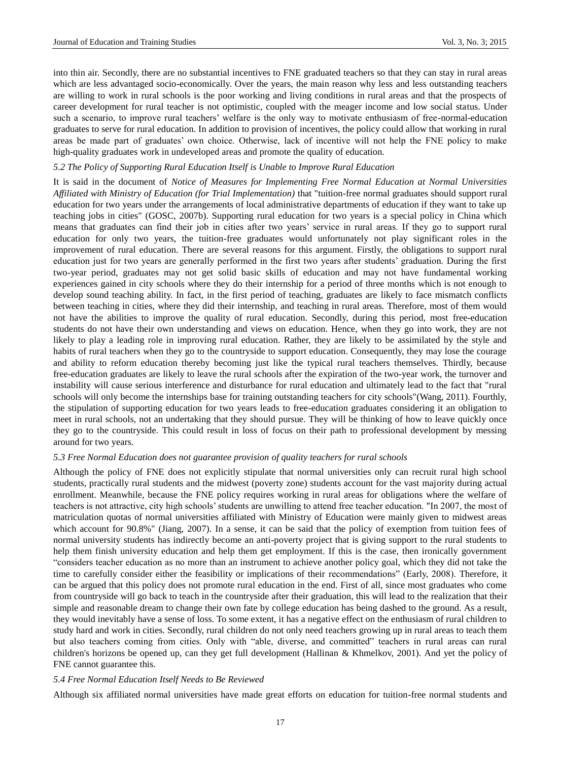into thin air. Secondly, there are no substantial incentives to FNE graduated teachers so that they can stay in rural areas which are less advantaged socio-economically. Over the years, the main reason why less and less outstanding teachers are willing to work in rural schools is the poor working and living conditions in rural areas and that the prospects of career development for rural teacher is not optimistic, coupled with the meager income and low social status. Under such a scenario, to improve rural teachers' welfare is the only way to motivate enthusiasm of free-normal-education graduates to serve for rural education. In addition to provision of incentives, the policy could allow that working in rural areas be made part of graduates' own choice. Otherwise, lack of incentive will not help the FNE policy to make high-quality graduates work in undeveloped areas and promote the quality of education.

## *5.2 The Policy of Supporting Rural Education Itself is Unable to Improve Rural Education*

It is said in the document of *Notice of Measures for Implementing Free Normal Education at Normal Universities Affiliated with Ministry of Education (for Trial Implementation)* that "tuition-free normal graduates should support rural education for two years under the arrangements of local administrative departments of education if they want to take up teaching jobs in cities" (GOSC, 2007b). Supporting rural education for two years is a special policy in China which means that graduates can find their job in cities after two years' service in rural areas. If they go to support rural education for only two years, the tuition-free graduates would unfortunately not play significant roles in the improvement of rural education. There are several reasons for this argument. Firstly, the obligations to support rural education just for two years are generally performed in the first two years after students' graduation. During the first two-year period, graduates may not get solid basic skills of education and may not have fundamental working experiences gained in city schools where they do their internship for a period of three months which is not enough to develop sound teaching ability. In fact, in the first period of teaching, graduates are likely to face mismatch conflicts between teaching in cities, where they did their internship, and teaching in rural areas. Therefore, most of them would not have the abilities to improve the quality of rural education. Secondly, during this period, most free-education students do not have their own understanding and views on education. Hence, when they go into work, they are not likely to play a leading role in improving rural education. Rather, they are likely to be assimilated by the style and habits of rural teachers when they go to the countryside to support education. Consequently, they may lose the courage and ability to reform education thereby becoming just like the typical rural teachers themselves. Thirdly, because free-education graduates are likely to leave the rural schools after the expiration of the two-year work, the turnover and instability will cause serious interference and disturbance for rural education and ultimately lead to the fact that "rural schools will only become the internships base for training outstanding teachers for city schools"(Wang, 2011). Fourthly, the stipulation of supporting education for two years leads to free-education graduates considering it an obligation to meet in rural schools, not an undertaking that they should pursue. They will be thinking of how to leave quickly once they go to the countryside. This could result in loss of focus on their path to professional development by messing around for two years.

#### *5.3 Free Normal Education does not guarantee provision of quality teachers for rural schools*

Although the policy of FNE does not explicitly stipulate that normal universities only can recruit rural high school students, practically rural students and the midwest (poverty zone) students account for the vast majority during actual enrollment. Meanwhile, because the FNE policy requires working in rural areas for obligations where the welfare of teachers is not attractive, city high schools' students are unwilling to attend free teacher education. "In 2007, the most of matriculation quotas of normal universities affiliated with Ministry of Education were mainly given to midwest areas which account for 90.8%" (Jiang, 2007). In a sense, it can be said that the policy of exemption from tuition fees of normal university students has indirectly become an anti-poverty project that is giving support to the rural students to help them finish university education and help them get employment. If this is the case, then ironically government "considers teacher education as no more than an instrument to achieve another policy goal, which they did not take the time to carefully consider either the feasibility or implications of their recommendations" (Early, 2008). Therefore, it can be argued that this policy does not promote rural education in the end. First of all, since most graduates who come from countryside will go back to teach in the countryside after their graduation, this will lead to the realization that their simple and reasonable dream to change their own fate by college education has being dashed to the ground. As a result, they would inevitably have a sense of loss. To some extent, it has a negative effect on the enthusiasm of rural children to study hard and work in cities. Secondly, rural children do not only need teachers growing up in rural areas to teach them but also teachers coming from cities. Only with "able, diverse, and committed" teachers in rural areas can rural children's horizons be opened up, can they get full development (Hallinan & Khmelkov, 2001). And yet the policy of FNE cannot guarantee this.

#### *5.4 Free Normal Education Itself Needs to Be Reviewed*

Although six affiliated normal universities have made great efforts on education for tuition-free normal students and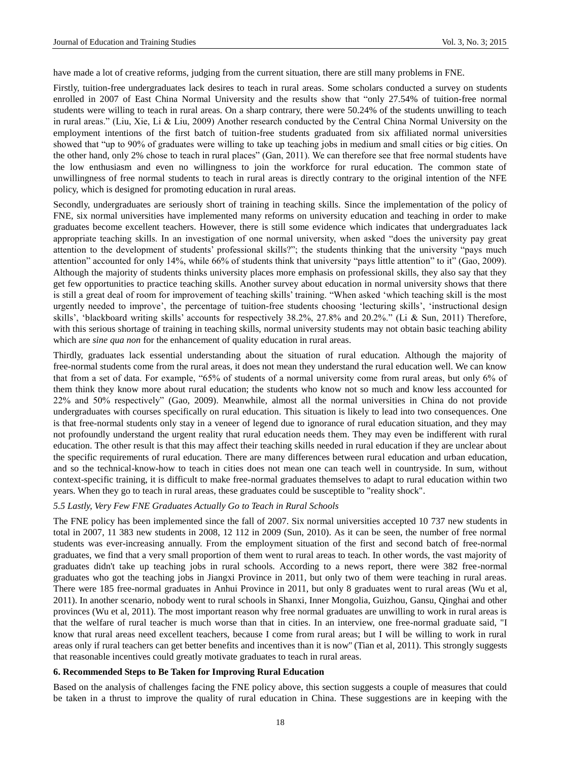have made a lot of creative reforms, judging from the current situation, there are still many problems in FNE.

Firstly, tuition-free undergraduates lack desires to teach in rural areas. Some scholars conducted a survey on students enrolled in 2007 of East China Normal University and the results show that "only 27.54% of tuition-free normal students were willing to teach in rural areas. On a sharp contrary, there were 50.24% of the students unwilling to teach in rural areas." (Liu, Xie, Li & Liu, 2009) Another research conducted by the Central China Normal University on the employment intentions of the first batch of tuition-free students graduated from six affiliated normal universities showed that "up to 90% of graduates were willing to take up teaching jobs in medium and small cities or big cities. On the other hand, only 2% chose to teach in rural places" (Gan, 2011). We can therefore see that free normal students have the low enthusiasm and even no willingness to join the workforce for rural education. The common state of unwillingness of free normal students to teach in rural areas is directly contrary to the original intention of the NFE policy, which is designed for promoting education in rural areas.

Secondly, undergraduates are seriously short of training in teaching skills. Since the implementation of the policy of FNE, six normal universities have implemented many reforms on university education and teaching in order to make graduates become excellent teachers. However, there is still some evidence which indicates that undergraduates lack appropriate teaching skills. In an investigation of one normal university, when asked "does the university pay great attention to the development of students' professional skills?"; the students thinking that the university "pays much attention" accounted for only 14%, while 66% of students think that university "pays little attention" to it" (Gao, 2009). Although the majority of students thinks university places more emphasis on professional skills, they also say that they get few opportunities to practice teaching skills. Another survey about education in normal university shows that there is still a great deal of room for improvement of teaching skills' training. "When asked 'which teaching skill is the most urgently needed to improve', the percentage of tuition-free students choosing 'lecturing skills', 'instructional design skills', 'blackboard writing skills' accounts for respectively 38.2%, 27.8% and 20.2%." (Li & Sun, 2011) Therefore, with this serious shortage of training in teaching skills, normal university students may not obtain basic teaching ability which are *sine qua non* for the enhancement of quality education in rural areas.

Thirdly, graduates lack essential understanding about the situation of rural education. Although the majority of free-normal students come from the rural areas, it does not mean they understand the rural education well. We can know that from a set of data. For example, "65% of students of a normal university come from rural areas, but only 6% of them think they know more about rural education; the students who know not so much and know less accounted for 22% and 50% respectively" (Gao, 2009). Meanwhile, almost all the normal universities in China do not provide undergraduates with courses specifically on rural education. This situation is likely to lead into two consequences. One is that free-normal students only stay in a veneer of legend due to ignorance of rural education situation, and they may not profoundly understand the urgent reality that rural education needs them. They may even be indifferent with rural education. The other result is that this may affect their teaching skills needed in rural education if they are unclear about the specific requirements of rural education. There are many differences between rural education and urban education, and so the technical-know-how to teach in cities does not mean one can teach well in countryside. In sum, without context-specific training, it is difficult to make free-normal graduates themselves to adapt to rural education within two years. When they go to teach in rural areas, these graduates could be susceptible to "reality shock".

#### *5.5 Lastly, Very Few FNE Graduates Actually Go to Teach in Rural Schools*

The FNE policy has been implemented since the fall of 2007. Six normal universities accepted 10 737 new students in total in 2007, 11 383 new students in 2008, 12 112 in 2009 (Sun, 2010). As it can be seen, the number of free normal students was ever-increasing annually. From the employment situation of the first and second batch of free-normal graduates, we find that a very small proportion of them went to rural areas to teach. In other words, the vast majority of graduates didn't take up teaching jobs in rural schools. According to a news report, there were 382 free-normal graduates who got the teaching jobs in Jiangxi Province in 2011, but only two of them were teaching in rural areas. There were 185 free-normal graduates in Anhui Province in 2011, but only 8 graduates went to rural areas (Wu et al, 2011). In another scenario, nobody went to rural schools in Shanxi, Inner Mongolia, Guizhou, Gansu, Qinghai and other provinces (Wu et al, 2011). The most important reason why free normal graduates are unwilling to work in rural areas is that the welfare of rural teacher is much worse than that in cities. In an interview, one free-normal graduate said, "I know that rural areas need excellent teachers, because I come from rural areas; but I will be willing to work in rural areas only if rural teachers can get better benefits and incentives than it is now" (Tian et al, 2011). This strongly suggests that reasonable incentives could greatly motivate graduates to teach in rural areas.

#### **6. Recommended Steps to Be Taken for Improving Rural Education**

Based on the analysis of challenges facing the FNE policy above, this section suggests a couple of measures that could be taken in a thrust to improve the quality of rural education in China. These suggestions are in keeping with the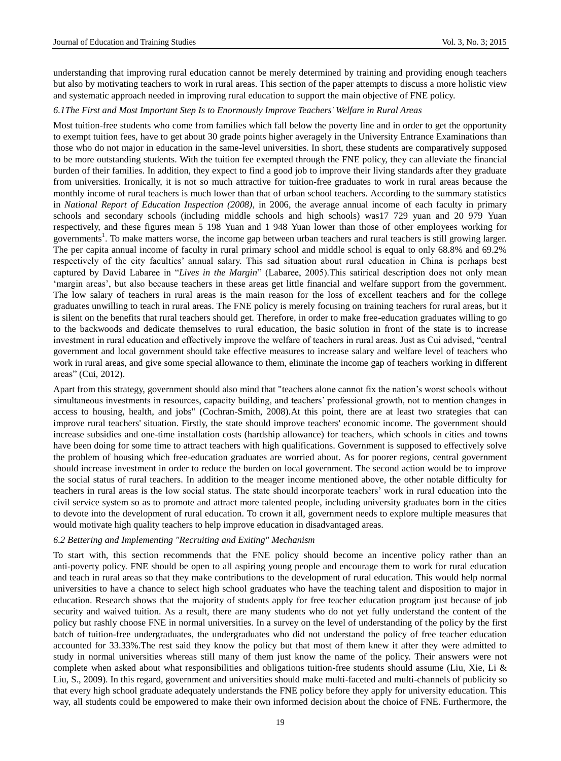understanding that improving rural education cannot be merely determined by training and providing enough teachers but also by motivating teachers to work in rural areas. This section of the paper attempts to discuss a more holistic view and systematic approach needed in improving rural education to support the main objective of FNE policy.

## *6.1The First and Most Important Step Is to Enormously Improve Teachers' Welfare in Rural Areas*

Most tuition-free students who come from families which fall below the poverty line and in order to get the opportunity to exempt tuition fees, have to get about 30 grade points higher averagely in the University Entrance Examinations than those who do not major in education in the same-level universities. In short, these students are comparatively supposed to be more outstanding students. With the tuition fee exempted through the FNE policy, they can alleviate the financial burden of their families. In addition, they expect to find a good job to improve their living standards after they graduate from universities. Ironically, it is not so much attractive for tuition-free graduates to work in rural areas because the monthly income of rural teachers is much lower than that of urban school teachers. According to the summary statistics in *National Report of Education Inspection (2008)*, in 2006, the average annual income of each faculty in primary schools and secondary schools (including middle schools and high schools) was17 729 yuan and 20 979 Yuan respectively, and these figures mean 5 198 Yuan and 1 948 Yuan lower than those of other employees working for governments<sup>1</sup>. To make matters worse, the income gap between urban teachers and rural teachers is still growing larger. The per capita annual income of faculty in rural primary school and middle school is equal to only 68.8% and 69.2% respectively of the city faculties' annual salary. This sad situation about rural education in China is perhaps best captured by David Labaree in "*Lives in the Margin*" (Labaree, 2005).This satirical description does not only mean 'margin areas', but also because teachers in these areas get little financial and welfare support from the government. The low salary of teachers in rural areas is the main reason for the loss of excellent teachers and for the college graduates unwilling to teach in rural areas. The FNE policy is merely focusing on training teachers for rural areas, but it is silent on the benefits that rural teachers should get. Therefore, in order to make free-education graduates willing to go to the backwoods and dedicate themselves to rural education, the basic solution in front of the state is to increase investment in rural education and effectively improve the welfare of teachers in rural areas. Just as Cui advised, "central government and local government should take effective measures to increase salary and welfare level of teachers who work in rural areas, and give some special allowance to them, eliminate the income gap of teachers working in different areas" (Cui, 2012).

Apart from this strategy, government should also mind that "teachers alone cannot fix the nation's worst schools without simultaneous investments in resources, capacity building, and teachers' professional growth, not to mention changes in access to housing, health, and jobs" (Cochran-Smith, 2008).At this point, there are at least two strategies that can improve rural teachers' situation. Firstly, the state should improve teachers' economic income. The government should increase subsidies and one-time installation costs (hardship allowance) for teachers, which schools in cities and towns have been doing for some time to attract teachers with high qualifications. Government is supposed to effectively solve the problem of housing which free-education graduates are worried about. As for poorer regions, central government should increase investment in order to reduce the burden on local government. The second action would be to improve the social status of rural teachers. In addition to the meager income mentioned above, the other notable difficulty for teachers in rural areas is the low social status. The state should incorporate teachers' work in rural education into the civil service system so as to promote and attract more talented people, including university graduates born in the cities to devote into the development of rural education. To crown it all, government needs to explore multiple measures that would motivate high quality teachers to help improve education in disadvantaged areas.

## *6.2 Bettering and Implementing "Recruiting and Exiting" Mechanism*

To start with, this section recommends that the FNE policy should become an incentive policy rather than an anti-poverty policy. FNE should be open to all aspiring young people and encourage them to work for rural education and teach in rural areas so that they make contributions to the development of rural education. This would help normal universities to have a chance to select high school graduates who have the teaching talent and disposition to major in education. Research shows that the majority of students apply for free teacher education program just because of job security and waived tuition. As a result, there are many students who do not yet fully understand the content of the policy but rashly choose FNE in normal universities. In a survey on the level of understanding of the policy by the first batch of tuition-free undergraduates, the undergraduates who did not understand the policy of free teacher education accounted for 33.33%.The rest said they know the policy but that most of them knew it after they were admitted to study in normal universities whereas still many of them just know the name of the policy. Their answers were not complete when asked about what responsibilities and obligations tuition-free students should assume (Liu, Xie, Li & Liu, S., 2009). In this regard, government and universities should make multi-faceted and multi-channels of publicity so that every high school graduate adequately understands the FNE policy before they apply for university education. This way, all students could be empowered to make their own informed decision about the choice of FNE. Furthermore, the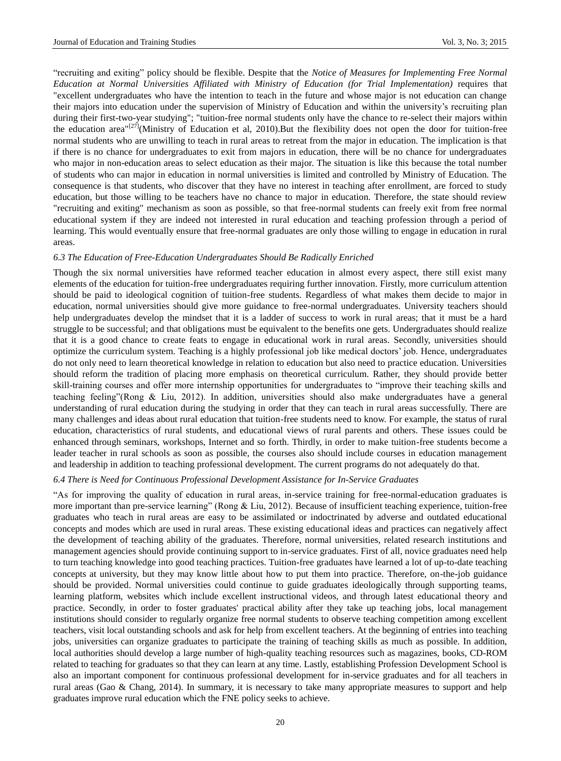"recruiting and exiting" policy should be flexible. Despite that the *Notice of Measures for Implementing Free Normal Education at Normal Universities Affiliated with Ministry of Education (for Trial Implementation)* requires that "excellent undergraduates who have the intention to teach in the future and whose major is not education can change their majors into education under the supervision of Ministry of Education and within the university's recruiting plan during their first-two-year studying"; "tuition-free normal students only have the chance to re-select their majors within the education area"<sup>[27]</sup>(Ministry of Education et al, 2010).But the flexibility does not open the door for tuition-free normal students who are unwilling to teach in rural areas to retreat from the major in education. The implication is that if there is no chance for undergraduates to exit from majors in education, there will be no chance for undergraduates who major in non-education areas to select education as their major. The situation is like this because the total number of students who can major in education in normal universities is limited and controlled by Ministry of Education. The consequence is that students, who discover that they have no interest in teaching after enrollment, are forced to study education, but those willing to be teachers have no chance to major in education. Therefore, the state should review "recruiting and exiting" mechanism as soon as possible, so that free-normal students can freely exit from free normal educational system if they are indeed not interested in rural education and teaching profession through a period of learning. This would eventually ensure that free-normal graduates are only those willing to engage in education in rural areas.

#### *6.3 The Education of Free-Education Undergraduates Should Be Radically Enriched*

Though the six normal universities have reformed teacher education in almost every aspect, there still exist many elements of the education for tuition-free undergraduates requiring further innovation. Firstly, more curriculum attention should be paid to ideological cognition of tuition-free students. Regardless of what makes them decide to major in education, normal universities should give more guidance to free-normal undergraduates. University teachers should help undergraduates develop the mindset that it is a ladder of success to work in rural areas; that it must be a hard struggle to be successful; and that obligations must be equivalent to the benefits one gets. Undergraduates should realize that it is a good chance to create feats to engage in educational work in rural areas. Secondly, universities should optimize the curriculum system. Teaching is a highly professional job like medical doctors' job. Hence, undergraduates do not only need to learn theoretical knowledge in relation to education but also need to practice education. Universities should reform the tradition of placing more emphasis on theoretical curriculum. Rather, they should provide better skill-training courses and offer more internship opportunities for undergraduates to "improve their teaching skills and teaching feeling"(Rong & Liu, 2012). In addition, universities should also make undergraduates have a general understanding of rural education during the studying in order that they can teach in rural areas successfully. There are many challenges and ideas about rural education that tuition-free students need to know. For example, the status of rural education, characteristics of rural students, and educational views of rural parents and others. These issues could be enhanced through seminars, workshops, Internet and so forth. Thirdly, in order to make tuition-free students become a leader teacher in rural schools as soon as possible, the courses also should include courses in education management and leadership in addition to teaching professional development. The current programs do not adequately do that.

#### *6.4 There is Need for Continuous Professional Development Assistance for In-Service Graduates*

"As for improving the quality of education in rural areas, in-service training for free-normal-education graduates is more important than pre-service learning" (Rong & Liu, 2012). Because of insufficient teaching experience, tuition-free graduates who teach in rural areas are easy to be assimilated or indoctrinated by adverse and outdated educational concepts and modes which are used in rural areas. These existing educational ideas and practices can negatively affect the development of teaching ability of the graduates. Therefore, normal universities, related research institutions and management agencies should provide continuing support to in-service graduates. First of all, novice graduates need help to turn teaching knowledge into good teaching practices. Tuition-free graduates have learned a lot of up-to-date teaching concepts at university, but they may know little about how to put them into practice. Therefore, on-the-job guidance should be provided. Normal universities could continue to guide graduates ideologically through supporting teams, learning platform, websites which include excellent instructional videos, and through latest educational theory and practice. Secondly, in order to foster graduates' practical ability after they take up teaching jobs, local management institutions should consider to regularly organize free normal students to observe teaching competition among excellent teachers, visit local outstanding schools and ask for help from excellent teachers. At the beginning of entries into teaching jobs, universities can organize graduates to participate the training of teaching skills as much as possible. In addition, local authorities should develop a large number of high-quality teaching resources such as magazines, books, CD-ROM related to teaching for graduates so that they can learn at any time. Lastly, establishing Profession Development School is also an important component for continuous professional development for in-service graduates and for all teachers in rural areas (Gao & Chang, 2014). In summary, it is necessary to take many appropriate measures to support and help graduates improve rural education which the FNE policy seeks to achieve.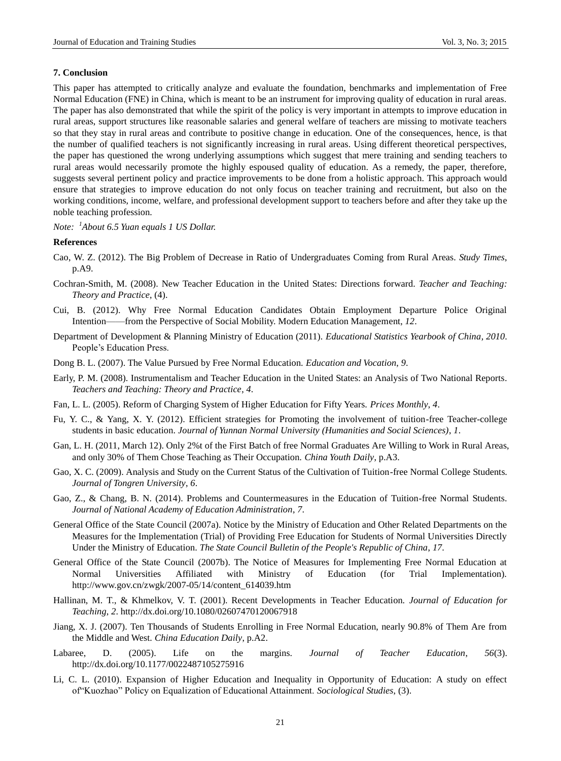#### **7. Conclusion**

This paper has attempted to critically analyze and evaluate the foundation, benchmarks and implementation of Free Normal Education (FNE) in China, which is meant to be an instrument for improving quality of education in rural areas. The paper has also demonstrated that while the spirit of the policy is very important in attempts to improve education in rural areas, support structures like reasonable salaries and general welfare of teachers are missing to motivate teachers so that they stay in rural areas and contribute to positive change in education. One of the consequences, hence, is that the number of qualified teachers is not significantly increasing in rural areas. Using different theoretical perspectives, the paper has questioned the wrong underlying assumptions which suggest that mere training and sending teachers to rural areas would necessarily promote the highly espoused quality of education. As a remedy, the paper, therefore, suggests several pertinent policy and practice improvements to be done from a holistic approach. This approach would ensure that strategies to improve education do not only focus on teacher training and recruitment, but also on the working conditions, income, welfare, and professional development support to teachers before and after they take up the noble teaching profession.

*Note: <sup>1</sup>About 6.5 Yuan equals 1 US Dollar.*

#### **References**

- Cao, W. Z. (2012). The Big Problem of Decrease in Ratio of Undergraduates Coming from Rural Areas. *Study Times*, p.A9.
- Cochran-Smith, M. (2008). New Teacher Education in the United States: Directions forward. *Teacher and Teaching: Theory and Practice*, (4).
- Cui, B. (2012). Why Free Normal Education Candidates Obtain Employment Departure Police Original Intention——from the Perspective of Social Mobility. Modern Education Management, *12*.
- Department of Development & Planning Ministry of Education (2011). *Educational Statistics Yearbook of China, 2010*. People's Education Press.
- Dong B. L. (2007). The Value Pursued by Free Normal Education. *Education and Vocation*, *9*.
- Early, P. M. (2008). Instrumentalism and Teacher Education in the United States: an Analysis of Two National Reports*. Teachers and Teaching: Theory and Practice*, *4*.
- Fan, L. L. (2005). Reform of Charging System of Higher Education for Fifty Years. *Prices Monthly*, *4*.
- Fu, Y. C., & Yang, X. Y. (2012). Efficient strategies for Promoting the involvement of tuition-free Teacher-college students in basic education. *Journal of Yunnan Normal University (Humanities and Social Sciences)*, *1*.
- Gan, L. H. (2011, March 12). Only 2%t of the First Batch of free Normal Graduates Are Willing to Work in Rural Areas, and only 30% of Them Chose Teaching as Their Occupation. *China Youth Daily*, p.A3.
- Gao, X. C. (2009). Analysis and Study on the Current Status of the Cultivation of Tuition-free Normal College Students. *Journal of Tongren University*, *6*.
- Gao, Z., & Chang, B. N. (2014). Problems and Countermeasures in the Education of Tuition-free Normal Students. *Journal of National Academy of Education Administration*, *7*.
- General Office of the State Council (2007a). Notice by the Ministry of Education and Other Related Departments on the Measures for the Implementation (Trial) of Providing Free Education for Students of Normal Universities Directly Under the Ministry of Education. *The State Council Bulletin of the People's Republic of China*, *17*.
- General Office of the State Council (2007b). The Notice of Measures for Implementing Free Normal Education at Normal Universities Affiliated with Ministry of Education (for Trial Implementation). http://www.gov.cn/zwgk/2007-05/14/content\_614039.htm
- Hallinan, M. T., & Khmelkov, V. T. (2001). Recent Developments in Teacher Education. *Journal of Education for Teaching*, *2*. http://dx.doi.org/10.1080/02607470120067918
- Jiang, X. J. (2007). Ten Thousands of Students Enrolling in Free Normal Education, nearly 90.8% of Them Are from the Middle and West. *China Education Daily*, p.A2.
- Labaree, D. (2005). Life on the margins. *Journal of Teacher Education*, *56*(3). http://dx.doi.org/10.1177/0022487105275916
- Li, C. L. (2010). Expansion of Higher Education and Inequality in Opportunity of Education: A study on effect of"Kuozhao" Policy on Equalization of Educational Attainment. *Sociological Studies*, (3).